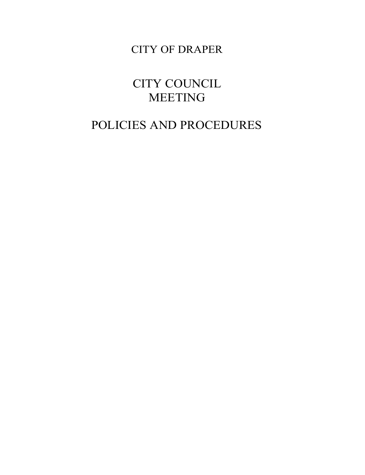CITY OF DRAPER

CITY COUNCIL MEETING

# POLICIES AND PROCEDURES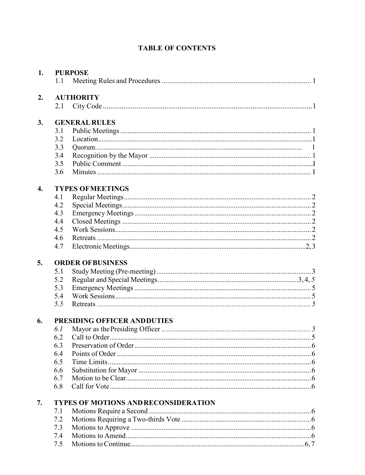# **TABLE OF CONTENTS**

| 1.               | <b>PURPOSE</b>          |                                             |  |  |  |
|------------------|-------------------------|---------------------------------------------|--|--|--|
|                  | 1.1                     |                                             |  |  |  |
| 2.               | <b>AUTHORITY</b>        |                                             |  |  |  |
|                  | 2.1                     |                                             |  |  |  |
| 3.               | <b>GENERAL RULES</b>    |                                             |  |  |  |
|                  | 3.1                     |                                             |  |  |  |
|                  | 3.2                     |                                             |  |  |  |
|                  | 3.3                     |                                             |  |  |  |
|                  | 3.4                     |                                             |  |  |  |
|                  | 3.5                     |                                             |  |  |  |
|                  | 3.6                     |                                             |  |  |  |
| $\overline{4}$ . | <b>TYPES OFMEETINGS</b> |                                             |  |  |  |
|                  | 4.1                     |                                             |  |  |  |
|                  | 4.2                     |                                             |  |  |  |
|                  | 4.3                     |                                             |  |  |  |
|                  | 4.4                     |                                             |  |  |  |
|                  | 4.5                     |                                             |  |  |  |
|                  | 4.6                     |                                             |  |  |  |
|                  | 4.7                     |                                             |  |  |  |
| 5.               |                         | <b>ORDER OFBUSINESS</b>                     |  |  |  |
|                  | 5.1                     |                                             |  |  |  |
|                  | 5.2                     |                                             |  |  |  |
|                  | 5.3                     |                                             |  |  |  |
|                  | 5.4                     |                                             |  |  |  |
|                  | 5.5                     |                                             |  |  |  |
| 6.               |                         | PRESIDING OFFICER AND DUTIES                |  |  |  |
|                  | 6.1                     |                                             |  |  |  |
|                  | 6.2                     |                                             |  |  |  |
|                  | 6.3                     |                                             |  |  |  |
|                  | 6.4                     |                                             |  |  |  |
|                  | 6.5                     |                                             |  |  |  |
|                  | 6.6                     |                                             |  |  |  |
|                  | 6.7                     |                                             |  |  |  |
|                  | 6.8                     |                                             |  |  |  |
| 7.               |                         | <b>TYPES OF MOTIONS AND RECONSIDERATION</b> |  |  |  |
|                  | 7.1                     |                                             |  |  |  |
|                  | 7.2                     |                                             |  |  |  |
|                  | 7.3                     |                                             |  |  |  |
|                  | 7.4                     |                                             |  |  |  |
|                  | 7.5                     |                                             |  |  |  |
|                  |                         |                                             |  |  |  |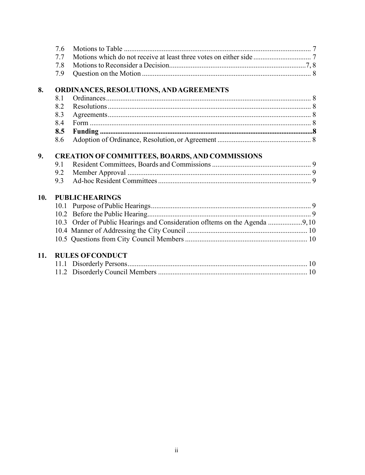|     | 7.6 |                                                        |  |
|-----|-----|--------------------------------------------------------|--|
|     | 7.7 |                                                        |  |
|     | 7.8 |                                                        |  |
|     | 7.9 |                                                        |  |
| 8.  |     | ORDINANCES, RESOLUTIONS, AND AGREEMENTS                |  |
|     | 8.1 |                                                        |  |
|     | 8.2 |                                                        |  |
|     | 8.3 |                                                        |  |
|     | 8.4 |                                                        |  |
|     | 8.5 |                                                        |  |
|     | 8.6 |                                                        |  |
| 9.  |     | <b>CREATION OF COMMITTEES, BOARDS, AND COMMISSIONS</b> |  |
|     | 9.1 |                                                        |  |
|     | 9.2 |                                                        |  |
|     | 9.3 |                                                        |  |
| 10. |     | <b>PUBLIC HEARINGS</b>                                 |  |
|     |     |                                                        |  |
|     |     |                                                        |  |
|     |     |                                                        |  |
|     |     |                                                        |  |
|     |     |                                                        |  |
| 11. |     | <b>RULES OF CONDUCT</b>                                |  |
|     |     |                                                        |  |
|     |     |                                                        |  |
|     |     |                                                        |  |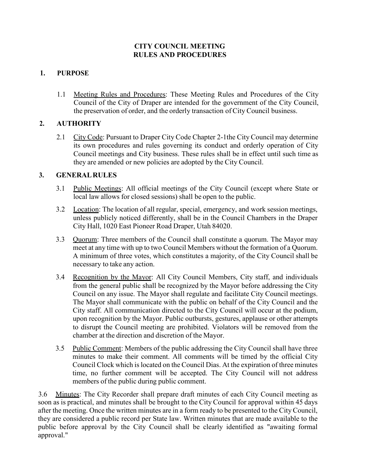# **CITY COUNCIL MEETING RULES AND PROCEDURES**

# **1. PURPOSE**

1.1 Meeting Rules and Procedures: These Meeting Rules and Procedures of the City Council of the City of Draper are intended for the government of the City Council, the preservation of order, and the orderly transaction of City Council business.

# <span id="page-3-0"></span>**2. AUTHORITY**

2.1 City Code: Pursuant to Draper City Code Chapter 2-1 the City Council may determine its own procedures and rules governing its conduct and orderly operation of City Council meetings and City business. These rules shall be in effect until such time as they are amended or new policies are adopted by the City Council.

## <span id="page-3-1"></span>**3. GENERALRULES**

- 3.1 Public Meetings: All official meetings of the City Council (except where State or local law allows for closed sessions) shall be open to the public.
- 3.2 Location: The location of all regular, special, emergency, and work session meetings, unless publicly noticed differently, shall be in the Council Chambers in the Draper City Hall, 1020 East Pioneer Road Draper, Utah 84020.
- 3.3 Quorum: Three members of the Council shall constitute a quorum. The Mayor may meet at any time with up to two Council Members without the formation of a Quorum. A minimum of three votes, which constitutes a majority, of the City Council shall be necessary to take any action.
- 3.4 Recognition by the Mayor: All City Council Members, City staff, and individuals from the general public shall be recognized by the Mayor before addressing the City Council on any issue. The Mayor shall regulate and facilitate City Council meetings. The Mayor shall communicate with the public on behalf of the City Council and the City staff. All communication directed to the City Council will occur at the podium, upon recognition by the Mayor. Public outbursts, gestures, applause or other attempts to disrupt the Council meeting are prohibited. Violators will be removed from the chamber at the direction and discretion of the Mayor.
- 3.5 Public Comment: Members of the public addressing the City Council shall have three minutes to make their comment. All comments will be timed by the official City Council Clock which is located on the Council Dias. At the expiration of three minutes time, no further comment will be accepted. The City Council will not address members of the public during public comment.

3.6 Minutes: The City Recorder shall prepare draft minutes of each City Council meeting as soon as is practical, and minutes shall be brought to the City Council for approval within 45 days after the meeting. Once the written minutes are in a form ready to be presented to the City Council, they are considered a public record per State law. Written minutes that are made available to the public before approval by the City Council shall be clearly identified as "awaiting formal approval."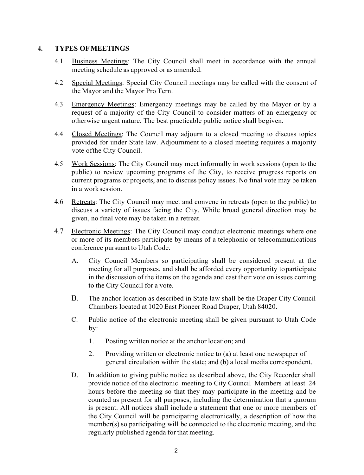#### <span id="page-4-0"></span>**4. TYPES OFMEETINGS**

- 4.1 Business Meetings: The City Council shall meet in accordance with the annual meeting schedule as approved or as amended.
- 4.2 Special Meetings: Special City Council meetings may be called with the consent of the Mayor and the Mayor Pro Tern.
- 4.3 Emergency Meetings: Emergency meetings may be called by the Mayor or by a request of a majority of the City Council to consider matters of an emergency or otherwise urgent nature. The best practicable public notice shall begiven.
- 4.4 Closed Meetings: The Council may adjourn to a closed meeting to discuss topics provided for under State law. Adjournment to a closed meeting requires a majority vote ofthe City Council.
- 4.5 Work Sessions: The City Council may meet informally in work sessions (open to the public) to review upcoming programs of the City, to receive progress reports on current programs or projects, and to discuss policy issues. No final vote may be taken in a worksession.
- 4.6 Retreats: The City Council may meet and convene in retreats (open to the public) to discuss a variety of issues facing the City. While broad general direction may be given, no final vote may be taken in a retreat.
- 4.7 Electronic Meetings: The City Council may conduct electronic meetings where one or more of its members participate by means of a telephonic or telecommunications conference pursuant to Utah Code.
	- A. City Council Members so participating shall be considered present at the meeting for all purposes, and shall be afforded every opportunity toparticipate in the discussion of the items on the agenda and cast their vote on issues coming to the City Council for a vote.
	- B. The anchor location as described in State law shall be the Draper City Council Chambers located at 1020 East Pioneer Road Draper, Utah 84020.
	- C. Public notice of the electronic meeting shall be given pursuant to Utah Code by:
		- 1. Posting written notice at the anchor location; and
		- 2. Providing written or electronic notice to (a) at least one newspaper of general circulation within the state; and (b) a local media correspondent.
	- D. In addition to giving public notice as described above, the City Recorder shall provide notice of the electronic meeting to City Council Members at least 24 hours before the meeting so that they may participate in the meeting and be counted as present for all purposes, including the determination that a quorum is present. All notices shall include a statement that one or more members of the City Council will be participating electronically, a description of how the member(s) so participating will be connected to the electronic meeting, and the regularly published agenda for that meeting.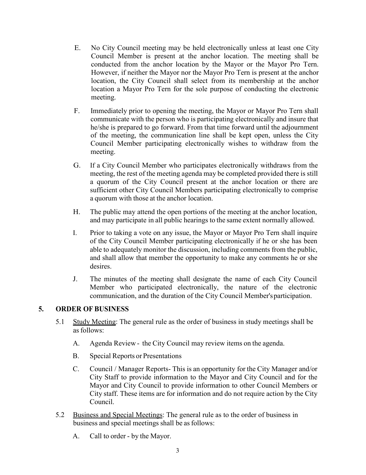- E. No City Council meeting may be held electronically unless at least one City Council Member is present at the anchor location. The meeting shall be conducted from the anchor location by the Mayor or the Mayor Pro Tern. However, if neither the Mayor nor the Mayor Pro Tern is present at the anchor location, the City Council shall select from its membership at the anchor location a Mayor Pro Tern for the sole purpose of conducting the electronic meeting.
- F. Immediately prior to opening the meeting, the Mayor or Mayor Pro Tern shall communicate with the person who is participating electronically and insure that he/she is prepared to go forward. From that time forward until the adjournment of the meeting, the communication line shall be kept open, unless the City Council Member participating electronically wishes to withdraw from the meeting.
- G. If a City Council Member who participates electronically withdraws from the meeting, the rest of the meeting agenda may be completed provided there is still a quorum of the City Council present at the anchor location or there are sufficient other City Council Members participating electronically to comprise a quorum with those at the anchor location.
- H. The public may attend the open portions of the meeting at the anchor location, and may participate in all public hearings to the same extent normally allowed.
- I. Prior to taking a vote on any issue, the Mayor or Mayor Pro Tern shall inquire of the City Council Member participating electronically if he or she has been able to adequately monitor the discussion, including comments from the public, and shall allow that member the opportunity to make any comments he or she desires.
- J. The minutes of the meeting shall designate the name of each City Council Member who participated electronically, the nature of the electronic communication, and the duration of the City Council Member'sparticipation.

## **5. ORDER OF BUSINESS**

- 5.1 Study Meeting: The general rule as the order of business in study meetings shall be as follows:
	- A. Agenda Review the City Council may review items on the agenda.
	- B. Special Reports or Presentations
	- C. Council / Manager Reports- This is an opportunity for the City Manager and/or City Staff to provide information to the Mayor and City Council and for the Mayor and City Council to provide information to other Council Members or City staff. These items are for information and do not require action by the City Council.
- 5.2 Business and Special Meetings: The general rule as to the order of business in business and special meetings shall be as follows:
	- A. Call to order by the Mayor.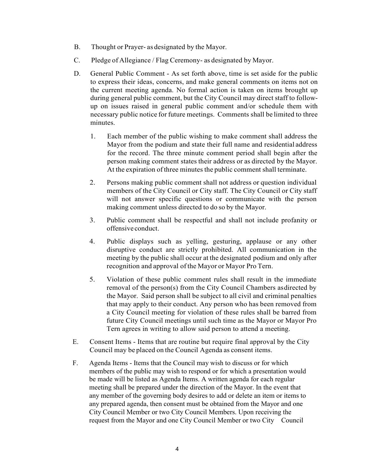- B. Thought or Prayer- as designated by the Mayor.
- C. Pledge of Allegiance / Flag Ceremony- as designated by Mayor.
- D. General Public Comment As set forth above, time is set aside for the public to express their ideas, concerns, and make general comments on items not on the current meeting agenda. No formal action is taken on items brought up during general public comment, but the City Council may direct staff to followup on issues raised in general public comment and/or schedule them with necessary public notice for future meetings. Comments shall be limited to three minutes.
	- 1. Each member of the public wishing to make comment shall address the Mayor from the podium and state their full name and residential address for the record. The three minute comment period shall begin after the person making comment states their address or as directed by the Mayor. At the expiration of three minutes the public comment shall terminate.
	- 2. Persons making public comment shall not address or question individual members of the City Council or City staff. The City Council or City staff will not answer specific questions or communicate with the person making comment unless directed to do so by the Mayor.
	- 3. Public comment shall be respectful and shall not include profanity or offensive conduct.
	- 4. Public displays such as yelling, gesturing, applause or any other disruptive conduct are strictly prohibited. All communication in the meeting by the public shall occur at the designated podium and only after recognition and approval of the Mayor or Mayor Pro Tern.
	- 5. Violation of these public comment rules shall result in the immediate removal of the person(s) from the City Council Chambers asdirected by the Mayor. Said person shall be subject to all civil and criminal penalties that may apply to their conduct. Any person who has been removed from a City Council meeting for violation of these rules shall be barred from future City Council meetings until such time as the Mayor or Mayor Pro Tern agrees in writing to allow said person to attend a meeting.
- E. Consent Items Items that are routine but require final approval by the City Council may be placed on the Council Agenda as consent items.
- F. Agenda Items Items that the Council may wish to discuss or for which members of the public may wish to respond or for which a presentation would be made will be listed as Agenda Items. A written agenda for each regular meeting shall be prepared under the direction of the Mayor. In the event that any member of the governing body desires to add or delete an item or items to any prepared agenda, then consent must be obtained from the Mayor and one City Council Member or two City Council Members. Upon receiving the request from the Mayor and one City Council Member or two City Council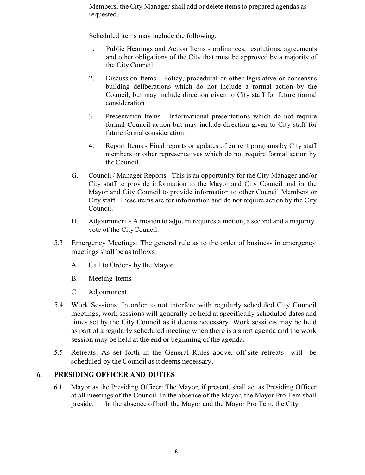Members, the City Manager shall add or delete items to prepared agendas as requested.

Scheduled items may include the following:

- 1. Public Hearings and Action Items ordinances, resolutions, agreements and other obligations of the City that must be approved by a majority of the City Council.
- 2. Discussion Items Policy, procedural or other legislative or consensus building deliberations which do not include a formal action by the Council, but may include direction given to City staff for future formal consideration.
- 3. Presentation Items Informational presentations which do not require formal Council action but may include direction given to City staff for future formal consideration.
- 4. Report Items Final reports or updates of current programs by City staff members or other representatives which do not require formal action by the Council.
- G. Council / Manager Reports This is an opportunity for the City Manager and/or City staff to provide information to the Mayor and City Council and for the Mayor and City Council to provide information to other Council Members or City staff. These items are for information and do not require action by the City Council.
- H. Adjournment A motion to adjourn requires a motion, a second and a majority vote of the CityCouncil.
- 5.3 Emergency Meetings: The general rule as to the order of business in emergency meetings shall be as follows:
	- A. Call to Order by the Mayor
	- B. Meeting Items
	- C. Adjournment
- 5.4 Work Sessions: In order to not interfere with regularly scheduled City Council meetings, work sessions will generally be held at specifically scheduled dates and times set by the City Council as it deems necessary. Work sessions may be held as part of a regularly scheduled meeting when there is a short agenda and the work session may be held at the end or beginning of the agenda.
- 5.5 Retreats: As set forth in the General Rules above, off-site retreats will be scheduled by the Council as it deems necessary.

#### <span id="page-7-0"></span>**6. PRESIDING OFFICER AND DUTIES**

6.1 Mayor as the Presiding Officer: The Mayor, if present, shall act as Presiding Officer at all meetings of the Council. In the absence of the Mayor, the Mayor Pro Tem shall preside. In the absence of both the Mayor and the Mayor Pro Tem, the City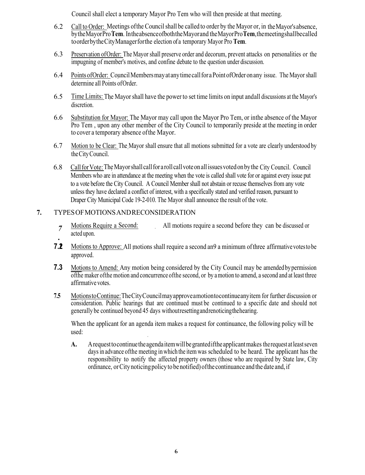Council shall elect a temporary Mayor Pro Tem who will then preside at that meeting.

- 6.2 Call to Order: Meetings ofthe Councilshall be called to order by the Mayor or, in theMayor'sabsence, bytheMayorPro**Tem**. IntheabsenceofboththeMayorand theMayorPro**Tem**,themeetingshallbecalled toorderbytheCityManagerforthe election of a temporary Mayor Pro **Tem**.
- 6.3 Preservation ofOrder: The Mayor shall preserve order and decorum, prevent attacks on personalities or the impugning of member's motives, and confine debate to the question under discussion.
- 6.4 Points ofOrder: CouncilMembersmayatanytimecallfor aPointofOrder onany issue. The Mayor shall determine all Points ofOrder.
- 6.5 Time Limits: The Mayor shall have the power to set time limits on input andall discussions at the Mayor's discretion.
- 6.6 Substitution for Mayor: The Mayor may call upon the Mayor Pro Tem, or inthe absence of the Mayor Pro Tem , upon any other member of the City Council to temporarily preside at the meeting in order to cover a temporary absence ofthe Mayor.
- 6.7 Motion to be Clear: The Mayor shall ensure that all motions submitted for a vote are clearly understood by theCityCouncil.
- 6.8 CallforVote:TheMayorshall callfor a roll callvoteonallissuesvotedonbythe City Council. Council Members who are in attendance at the meeting when the vote is called shall vote for or against every issue put to a vote before the City Council. A Council Member shall not abstain or recuse themselves from any vote unless they have declared a conflict of interest, with a specifically stated and verified reason, pursuant to Draper City Municipal Code 19-2-010. The Mayor shall announce the result of the vote.

#### <span id="page-8-0"></span>**7.** TYPESOFMOTIONSANDRECONSIDERATION

- Motions Require a Second: All motions require a second before they can be discussed or  $\overline{7}$ acted upon.
- **7.2** Motions to Approve: All motions shall require a second an 9 a minimum of three affirmative votes to be approved.
- **7.3** Motions to Amend: Any motion being considered by the City Council may be amended by permission ofthe maker ofthe motion and concurrence ofthe second, or by amotion to amend, a second and at least three affirmative votes.
- **7.5** MotionstoContinue:TheCityCouncilmayapproveamotiontocontinueanyitem for further discussion or consideration. Public hearings that are continued must be continued to a specific date and should not generally be continued beyond 45 days withoutresettingandrenoticingthehearing.

When the applicant for an agenda item makes a request for continuance, the following policy will be used:

**A.** Arequesttocontinuetheagendaitemwillbegrantediftheapplicantmakes the request atleastseven daysin advance ofthe meeting in which the item was scheduled to be heard. The applicant has the responsibility to notify the affected property owners (those who are required by State law, City ordinance, orCitynoticingpolicyto be notified) ofthe continuance andthe date and,if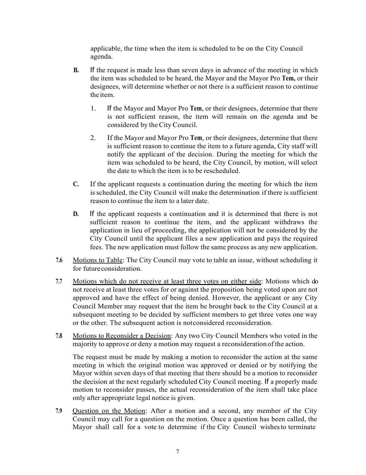applicable, the time when the item is scheduled to be on the City Council agenda.

- **B.** If the request is made less than seven days in advance of the meeting in which the item was scheduled to be heard, the Mayor and the Mayor Pro **Tem,** or their designees, will determine whether or not there is a sufficient reason to continue the item.
	- 1. If the Mayor and Mayor Pro **Tem**, or their designees, determine that there is not sufficient reason, the item will remain on the agenda and be considered by the City Council.
	- 2. If the Mayor and Mayor Pro **Tem**, or their designees, determine that there is sufficient reason to continue the item to a future agenda, City staff will notify the applicant of the decision. During the meeting for which the item was scheduled to be heard, the City Council, by motion, will select the date to which the item is to be rescheduled.
- **C.** If the applicant requests a continuation during the meeting for which the item isscheduled, the City Council will make the determination if there is sufficient reason to continue the item to a later date.
- **D.** If the applicant requests a continuation and it is determined that there is not sufficient reason to continue the item, and the applicant withdraws the application in lieu of proceeding, the application will not be considered by the City Council until the applicant files a new application and pays the required fees. The new application must follow the same process as any new application.
- **7.6** Motions to Table: The City Council may vote to table an issue, without scheduling it for futureconsideration.
- **7.7** Motions which do not receive at least three votes on either side: Motions which do not receive at least three votes for or against the proposition being voted upon are not approved and have the effect of being denied. However, the applicant or any City Council Member may request that the item be brought back to the City Council at a subsequent meeting to be decided by sufficient members to get three votes one way or the other. The subsequent action is notconsidered reconsideration.
- **7.8** Motions to Reconsider a Decision: Any two City Council Members who voted in the majority to approve or deny a motion may request a reconsideration of the action.

The request must be made by making a motion to reconsider the action at the same meeting in which the original motion was approved or denied or by notifying the Mayor within seven days of that meeting that there should be a motion to reconsider the decision at the next regularly scheduled City Council meeting. If a properly made motion to reconsider passes, the actual reconsideration of the item shall take place only after appropriate legal notice is given.

**7.9** Question on the Motion: After a motion and a second, any member of the City Council may call for a question on the motion. Once a question has been called, the Mayor shall call for a vote to determine if the City Council wishesto terminate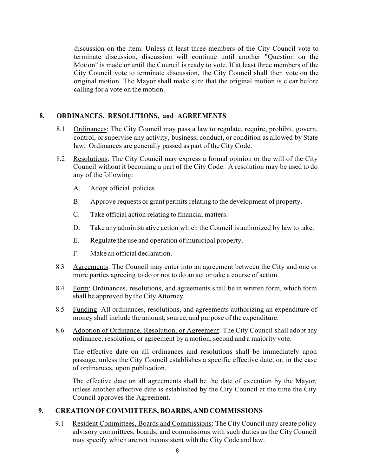discussion on the item. Unless at least three members of the City Council vote to terminate discussion, discussion will continue until another "Question on the Motion" is made or until the Council is ready to vote. If at least three members of the City Council vote to terminate discussion, the City Council shall then vote on the original motion. The Mayor shall make sure that the original motion is clear before calling for a vote on the motion.

#### **8. ORDINANCES, RESOLUTIONS, and AGREEMENTS**

- 8.1 Ordinances: The City Council may pass a law to regulate, require, prohibit, govern, control, or supervise any activity, business, conduct, or condition as allowed by State law. Ordinances are generally passed as part of the City Code.
- 8.2 Resolutions: The City Council may express a formal opinion or the will of the City Council without it becoming a part of the City Code. A resolution may be used to do any of thefollowing:
	- A. Adopt official policies.
	- B. Approve requests or grant permits relating to the development of property.
	- C. Take official action relating to financial matters.
	- D. Take any administrative action which the Council is authorized by law to take.
	- E. Regulate the use and operation of municipal property.
	- F. Make an official declaration.
- 8.3 Agreements: The Council may enter into an agreement between the City and one or more parties agreeing to do or not to do an act or take a course of action.
- 8.4 Form: Ordinances, resolutions, and agreements shall be in written form, which form shall be approved by the City Attorney.
- 8.5 Funding: All ordinances, resolutions, and agreements authorizing an expenditure of money shall include the amount, source, and purpose of the expenditure.
- 8.6 Adoption of Ordinance, Resolution, or Agreement: The City Council shall adopt any ordinance, resolution, or agreement by a motion, second and a majority vote.

The effective date on all ordinances and resolutions shall be immediately upon passage, unless the City Council establishes a specific effective date, or, in the case of ordinances, upon publication.

The effective date on all agreements shall be the date of execution by the Mayor, unless another effective date is established by the City Council at the time the City Council approves the Agreement.

#### **9. CREATIONOFCOMMITTEES,BOARDS, ANDCOMMISSIONS**

9.1 Resident Committees, Boards and Commissions: The City Council may create policy advisory committees, boards, and commissions with such duties as the CityCouncil may specify which are not inconsistent with the City Code and law.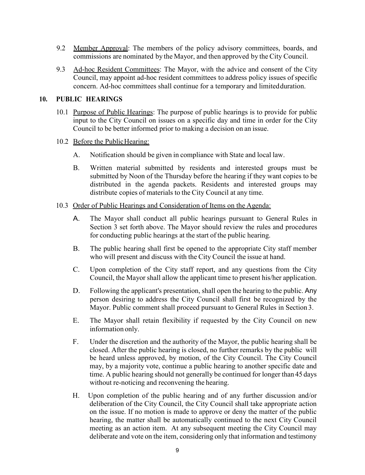- 9.2 Member Approval: The members of the policy advisory committees, boards, and commissions are nominated by the Mayor, and then approved by the City Council.
- 9.3 Ad-hoc Resident Committees: The Mayor, with the advice and consent of the City Council, may appoint ad-hoc resident committees to address policy issues of specific concern. Ad-hoc committees shall continue for a temporary and limitedduration.

## **10. PUBLIC HEARINGS**

10.1 Purpose of Public Hearings: The purpose of public hearings is to provide for public input to the City Council on issues on a specific day and time in order for the City Council to be better informed prior to making a decision on an issue.

## 10.2 Before the Public Hearing:

- A. Notification should be given in compliance with State and local law.
- B. Written material submitted by residents and interested groups must be submitted by Noon of the Thursday before the hearing if they want copies to be distributed in the agenda packets. Residents and interested groups may distribute copies of materials to the City Council at any time.

#### 10.3 Order of Public Hearings and Consideration of Items on the Agenda:

- A. The Mayor shall conduct all public hearings pursuant to General Rules in Section 3 set forth above. The Mayor should review the rules and procedures for conducting public hearings at the start of the public hearing.
- B. The public hearing shall first be opened to the appropriate City staff member who will present and discuss with the City Council the issue at hand.
- C. Upon completion of the City staff report, and any questions from the City Council, the Mayor shall allow the applicant time to present his/her application.
- D. Following the applicant's presentation, shall open the hearing to the public. Any person desiring to address the City Council shall first be recognized by the Mayor. Public comment shall proceed pursuant to General Rules in Section 3.
- E. The Mayor shall retain flexibility if requested by the City Council on new information only.
- F. Under the discretion and the authority of the Mayor, the public hearing shall be closed. After the public hearing is closed, no further remarks by the public will be heard unless approved, by motion, of the City Council. The City Council may, by a majority vote, continue a public hearing to another specific date and time. A public hearing should not generally be continued for longer than 45 days without re-noticing and reconvening the hearing.
- H. Upon completion of the public hearing and of any further discussion and/or deliberation of the City Council, the City Council shall take appropriate action on the issue. If no motion is made to approve or deny the matter of the public hearing, the matter shall be automatically continued to the next City Council meeting as an action item. At any subsequent meeting the City Council may deliberate and vote on the item, considering only that information and testimony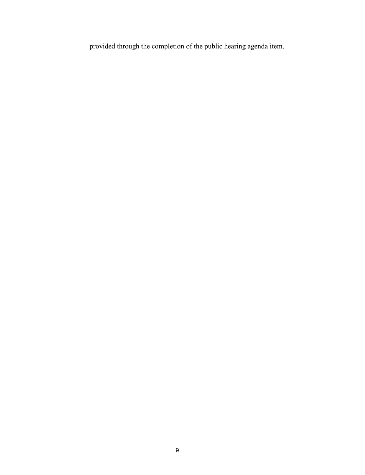provided through the completion of the public hearing agenda item.